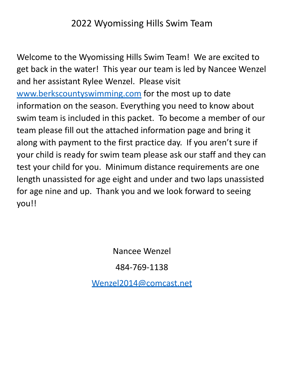## 2022 Wyomissing Hills Swim Team

Welcome to the Wyomissing Hills Swim Team! We are excited to get back in the water! This year our team is led by Nancee Wenzel and her assistant Rylee Wenzel. Please visit [www.berkscountyswimming.com](http://www.berkscountyswimming.com) for the most up to date information on the season. Everything you need to know about swim team is included in this packet. To become a member of our team please fill out the attached information page and bring it along with payment to the first practice day. If you aren't sure if your child is ready for swim team please ask our staff and they can test your child for you. Minimum distance requirements are one length unassisted for age eight and under and two laps unassisted for age nine and up. Thank you and we look forward to seeing you!!

Nancee Wenzel

484-769-1138

[Wenzel2014@comcast.net](mailto:Wenzel2014@comcast.net)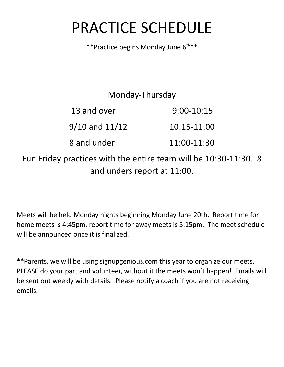## PRACTICE SCHEDULE

\*\* Practice begins Monday June 6<sup>th \*\*</sup>

## Monday-Thursday

| 13 and over        | $9:00-10:15$  |
|--------------------|---------------|
| $9/10$ and $11/12$ | $10:15-11:00$ |
| 8 and under        | 11:00-11:30   |

Fun Friday practices with the entire team will be 10:30-11:30. 8 and unders report at 11:00.

Meets will be held Monday nights beginning Monday June 20th. Report time for home meets is 4:45pm, report time for away meets is 5:15pm. The meet schedule will be announced once it is finalized.

\*\*Parents, we will be using signupgenious.com this year to organize our meets. PLEASE do your part and volunteer, without it the meets won't happen! Emails will be sent out weekly with details. Please notify a coach if you are not receiving emails.